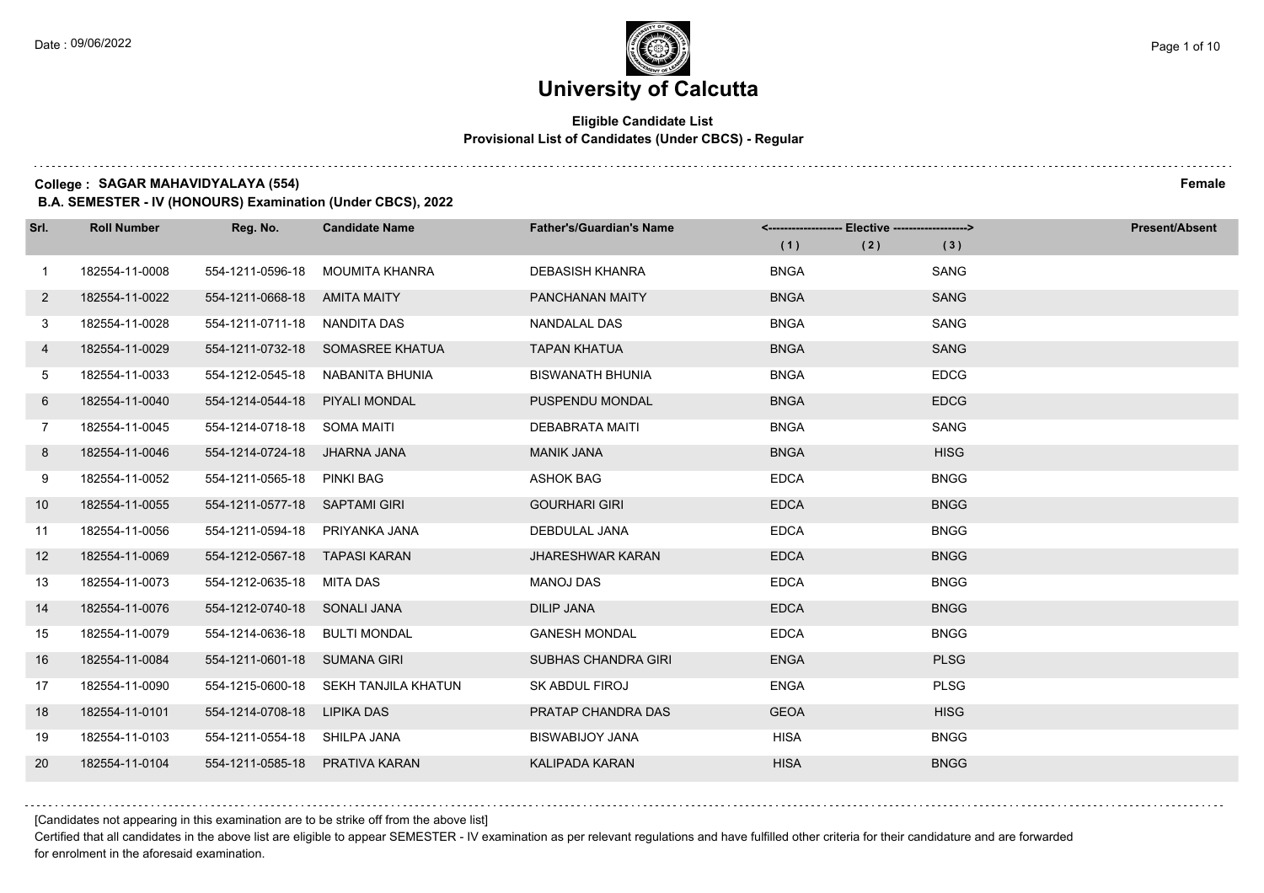$1.111$ 

# **University of Calcutta**

### **Eligible Candidate List Provisional List of Candidates (Under CBCS) - Regular**

**College : SAGAR MAHAVIDYALAYA (554) Female**

**B.A. SEMESTER - IV (HONOURS) Examination (Under CBCS), 2022**

| Srl.              | <b>Roll Number</b> | Reg. No.                       | <b>Candidate Name</b>            | <b>Father's/Guardian's Name</b> | <-------------------- Elective -------------------> |             | <b>Present/Absent</b> |
|-------------------|--------------------|--------------------------------|----------------------------------|---------------------------------|-----------------------------------------------------|-------------|-----------------------|
|                   |                    |                                |                                  |                                 | (1)<br>(2)                                          | (3)         |                       |
| $\mathbf{1}$      | 182554-11-0008     | 554-1211-0596-18               | MOUMITA KHANRA                   | <b>DEBASISH KHANRA</b>          | <b>BNGA</b>                                         | SANG        |                       |
| $\overline{2}$    | 182554-11-0022     | 554-1211-0668-18 AMITA MAITY   |                                  | PANCHANAN MAITY                 | <b>BNGA</b>                                         | <b>SANG</b> |                       |
| 3                 | 182554-11-0028     | 554-1211-0711-18 NANDITA DAS   |                                  | NANDALAL DAS                    | <b>BNGA</b>                                         | SANG        |                       |
| 4                 | 182554-11-0029     |                                | 554-1211-0732-18 SOMASREE KHATUA | <b>TAPAN KHATUA</b>             | <b>BNGA</b>                                         | <b>SANG</b> |                       |
| 5                 | 182554-11-0033     | 554-1212-0545-18               | NABANITA BHUNIA                  | <b>BISWANATH BHUNIA</b>         | <b>BNGA</b>                                         | <b>EDCG</b> |                       |
| 6                 | 182554-11-0040     | 554-1214-0544-18 PIYALI MONDAL |                                  | PUSPENDU MONDAL                 | <b>BNGA</b>                                         | <b>EDCG</b> |                       |
| $7\phantom{.}$    | 182554-11-0045     | 554-1214-0718-18 SOMA MAITI    |                                  | <b>DEBABRATA MAITI</b>          | <b>BNGA</b>                                         | SANG        |                       |
| 8                 | 182554-11-0046     | 554-1214-0724-18 JHARNA JANA   |                                  | <b>MANIK JANA</b>               | <b>BNGA</b>                                         | <b>HISG</b> |                       |
| 9                 | 182554-11-0052     | 554-1211-0565-18               | PINKI BAG                        | <b>ASHOK BAG</b>                | <b>EDCA</b>                                         | <b>BNGG</b> |                       |
| 10 <sup>°</sup>   | 182554-11-0055     | 554-1211-0577-18 SAPTAMI GIRI  |                                  | <b>GOURHARI GIRI</b>            | <b>EDCA</b>                                         | <b>BNGG</b> |                       |
| 11                | 182554-11-0056     | 554-1211-0594-18 PRIYANKA JANA |                                  | DEBDULAL JANA                   | <b>EDCA</b>                                         | <b>BNGG</b> |                       |
| $12 \overline{ }$ | 182554-11-0069     | 554-1212-0567-18               | TAPASI KARAN                     | <b>JHARESHWAR KARAN</b>         | <b>EDCA</b>                                         | <b>BNGG</b> |                       |
| 13                | 182554-11-0073     | 554-1212-0635-18               | MITA DAS                         | <b>MANOJ DAS</b>                | <b>EDCA</b>                                         | <b>BNGG</b> |                       |
| 14                | 182554-11-0076     | 554-1212-0740-18 SONALI JANA   |                                  | <b>DILIP JANA</b>               | <b>EDCA</b>                                         | <b>BNGG</b> |                       |
| 15                | 182554-11-0079     | 554-1214-0636-18 BULTI MONDAL  |                                  | <b>GANESH MONDAL</b>            | <b>EDCA</b>                                         | <b>BNGG</b> |                       |
| 16                | 182554-11-0084     | 554-1211-0601-18 SUMANA GIRI   |                                  | <b>SUBHAS CHANDRA GIRI</b>      | <b>ENGA</b>                                         | <b>PLSG</b> |                       |
| 17                | 182554-11-0090     | 554-1215-0600-18               | SEKH TANJILA KHATUN              | SK ABDUL FIROJ                  | <b>ENGA</b>                                         | <b>PLSG</b> |                       |
| 18                | 182554-11-0101     | 554-1214-0708-18 LIPIKA DAS    |                                  | PRATAP CHANDRA DAS              | <b>GEOA</b>                                         | <b>HISG</b> |                       |
| 19                | 182554-11-0103     | 554-1211-0554-18 SHILPA JANA   |                                  | <b>BISWABIJOY JANA</b>          | <b>HISA</b>                                         | <b>BNGG</b> |                       |
| 20                | 182554-11-0104     | 554-1211-0585-18 PRATIVA KARAN |                                  | <b>KALIPADA KARAN</b>           | <b>HISA</b>                                         | <b>BNGG</b> |                       |

[Candidates not appearing in this examination are to be strike off from the above list]

Certified that all candidates in the above list are eligible to appear SEMESTER - IV examination as per relevant regulations and have fulfilled other criteria for their candidature and are forwarded for enrolment in the aforesaid examination.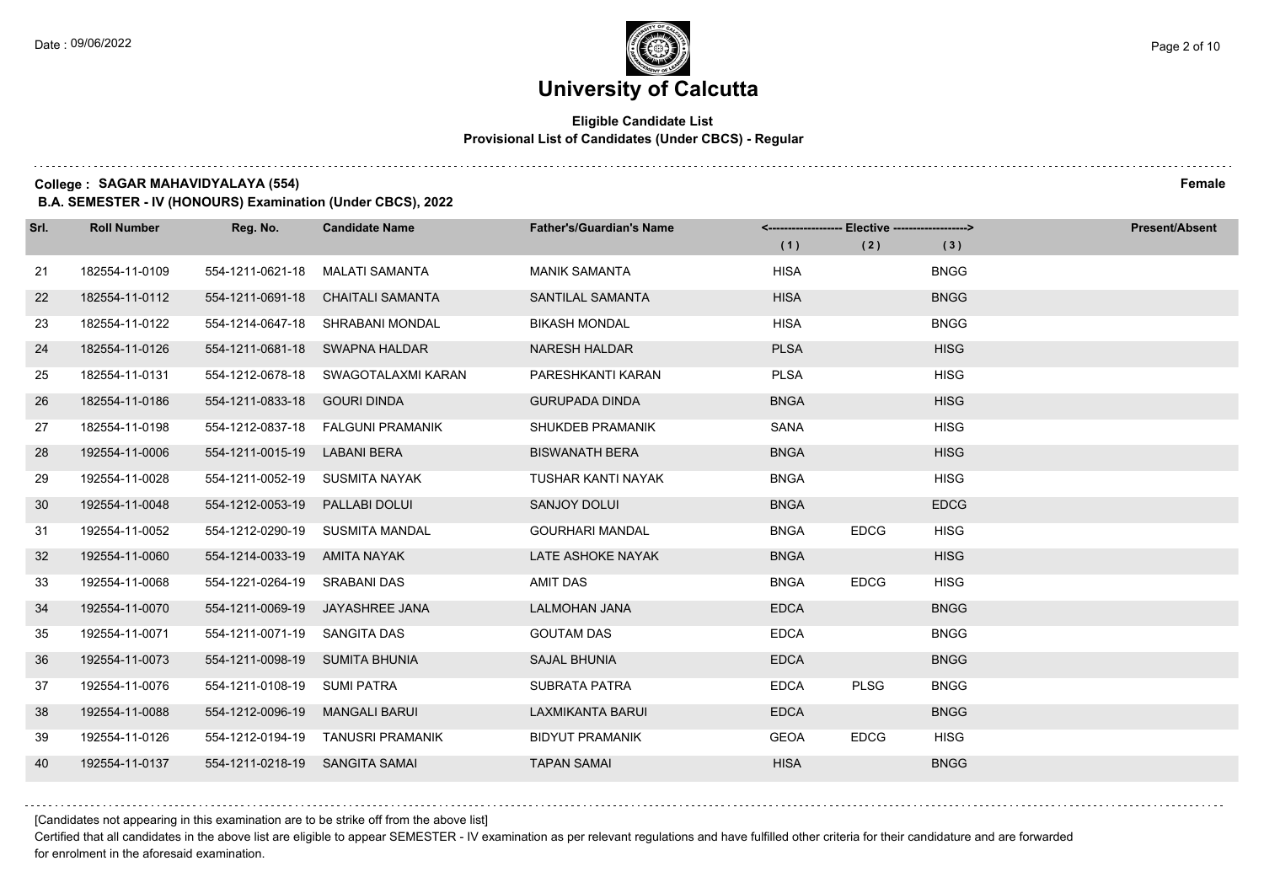### **Eligible Candidate List Provisional List of Candidates (Under CBCS) - Regular**

**College : SAGAR MAHAVIDYALAYA (554) Female**

**B.A. SEMESTER - IV (HONOURS) Examination (Under CBCS), 2022**

| Srl.            | <b>Roll Number</b> | Reg. No.                       | <b>Candidate Name</b>                | <b>Father's/Guardian's Name</b> | <------------------- Elective ------------------> |             |             | <b>Present/Absent</b> |
|-----------------|--------------------|--------------------------------|--------------------------------------|---------------------------------|---------------------------------------------------|-------------|-------------|-----------------------|
|                 |                    |                                |                                      |                                 | (1)                                               | (2)         | (3)         |                       |
| 21              | 182554-11-0109     | 554-1211-0621-18               | MALATI SAMANTA                       | <b>MANIK SAMANTA</b>            | <b>HISA</b>                                       |             | <b>BNGG</b> |                       |
| 22              | 182554-11-0112     | 554-1211-0691-18               | CHAITALI SAMANTA                     | SANTILAL SAMANTA                | <b>HISA</b>                                       |             | <b>BNGG</b> |                       |
| 23              | 182554-11-0122     |                                | 554-1214-0647-18 SHRABANI MONDAL     | <b>BIKASH MONDAL</b>            | <b>HISA</b>                                       |             | <b>BNGG</b> |                       |
| 24              | 182554-11-0126     |                                | 554-1211-0681-18 SWAPNA HALDAR       | <b>NARESH HALDAR</b>            | <b>PLSA</b>                                       |             | <b>HISG</b> |                       |
| 25              | 182554-11-0131     | 554-1212-0678-18               | SWAGOTALAXMI KARAN                   | PARESHKANTI KARAN               | <b>PLSA</b>                                       |             | <b>HISG</b> |                       |
| 26              | 182554-11-0186     | 554-1211-0833-18               | <b>GOURI DINDA</b>                   | <b>GURUPADA DINDA</b>           | <b>BNGA</b>                                       |             | <b>HISG</b> |                       |
| 27              | 182554-11-0198     |                                | 554-1212-0837-18    FALGUNI PRAMANIK | SHUKDEB PRAMANIK                | SANA                                              |             | <b>HISG</b> |                       |
| 28              | 192554-11-0006     | 554-1211-0015-19               | <b>LABANI BERA</b>                   | <b>BISWANATH BERA</b>           | <b>BNGA</b>                                       |             | <b>HISG</b> |                       |
| 29              | 192554-11-0028     | 554-1211-0052-19               | SUSMITA NAYAK                        | <b>TUSHAR KANTI NAYAK</b>       | <b>BNGA</b>                                       |             | <b>HISG</b> |                       |
| 30              | 192554-11-0048     | 554-1212-0053-19               | PALLABI DOLUI                        | SANJOY DOLUI                    | <b>BNGA</b>                                       |             | <b>EDCG</b> |                       |
| 31              | 192554-11-0052     |                                | 554-1212-0290-19 SUSMITA MANDAL      | <b>GOURHARI MANDAL</b>          | <b>BNGA</b>                                       | <b>EDCG</b> | <b>HISG</b> |                       |
| 32 <sup>2</sup> | 192554-11-0060     | 554-1214-0033-19 AMITA NAYAK   |                                      | LATE ASHOKE NAYAK               | <b>BNGA</b>                                       |             | <b>HISG</b> |                       |
| 33              | 192554-11-0068     | 554-1221-0264-19               | <b>SRABANI DAS</b>                   | <b>AMIT DAS</b>                 | <b>BNGA</b>                                       | <b>EDCG</b> | <b>HISG</b> |                       |
| 34              | 192554-11-0070     |                                | 554-1211-0069-19 JAYASHREE JANA      | <b>LALMOHAN JANA</b>            | <b>EDCA</b>                                       |             | <b>BNGG</b> |                       |
| 35              | 192554-11-0071     | 554-1211-0071-19 SANGITA DAS   |                                      | <b>GOUTAM DAS</b>               | <b>EDCA</b>                                       |             | <b>BNGG</b> |                       |
| 36              | 192554-11-0073     | 554-1211-0098-19 SUMITA BHUNIA |                                      | <b>SAJAL BHUNIA</b>             | <b>EDCA</b>                                       |             | <b>BNGG</b> |                       |
| 37              | 192554-11-0076     | 554-1211-0108-19               | <b>SUMI PATRA</b>                    | <b>SUBRATA PATRA</b>            | <b>EDCA</b>                                       | <b>PLSG</b> | <b>BNGG</b> |                       |
| 38              | 192554-11-0088     | 554-1212-0096-19               | <b>MANGALI BARUI</b>                 | <b>LAXMIKANTA BARUI</b>         | <b>EDCA</b>                                       |             | <b>BNGG</b> |                       |
| 39              | 192554-11-0126     |                                | 554-1212-0194-19 TANUSRI PRAMANIK    | <b>BIDYUT PRAMANIK</b>          | <b>GEOA</b>                                       | <b>EDCG</b> | <b>HISG</b> |                       |
| 40              | 192554-11-0137     | 554-1211-0218-19 SANGITA SAMAI |                                      | <b>TAPAN SAMAI</b>              | <b>HISA</b>                                       |             | <b>BNGG</b> |                       |

[Candidates not appearing in this examination are to be strike off from the above list]

Certified that all candidates in the above list are eligible to appear SEMESTER - IV examination as per relevant regulations and have fulfilled other criteria for their candidature and are forwarded for enrolment in the aforesaid examination.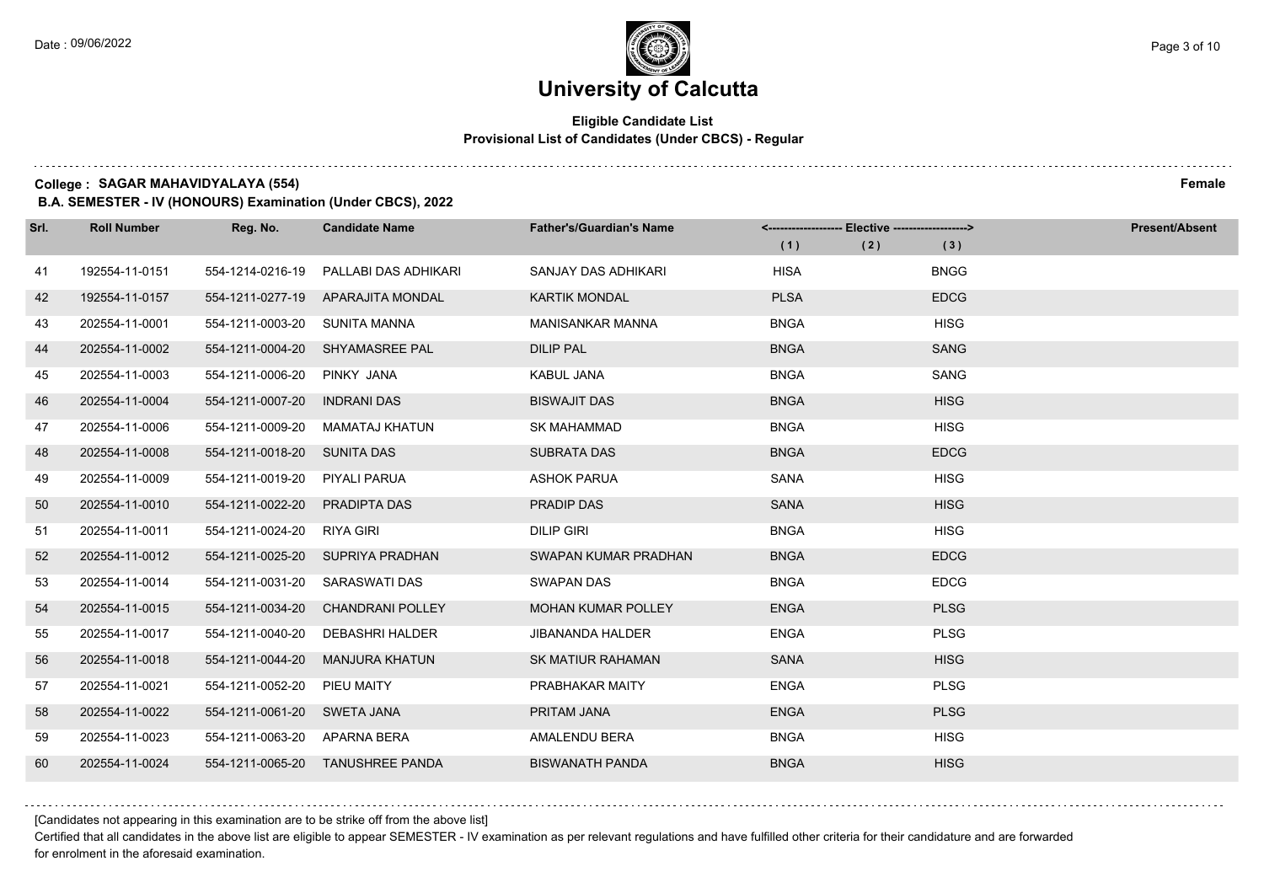### **Eligible Candidate List Provisional List of Candidates (Under CBCS) - Regular**

**College : SAGAR MAHAVIDYALAYA (554) Female**

**B.A. SEMESTER - IV (HONOURS) Examination (Under CBCS), 2022**

| Srl. | <b>Roll Number</b> | Reg. No.                     | <b>Candidate Name</b>            | <b>Father's/Guardian's Name</b> |             | <-------------------- Elective ------------------> |             | <b>Present/Absent</b> |
|------|--------------------|------------------------------|----------------------------------|---------------------------------|-------------|----------------------------------------------------|-------------|-----------------------|
|      |                    |                              |                                  |                                 | (1)         | (2)                                                | (3)         |                       |
| 41   | 192554-11-0151     | 554-1214-0216-19             | PALLABI DAS ADHIKARI             | SANJAY DAS ADHIKARI             | <b>HISA</b> |                                                    | <b>BNGG</b> |                       |
| 42   | 192554-11-0157     | 554-1211-0277-19             | APARAJITA MONDAL                 | <b>KARTIK MONDAL</b>            | <b>PLSA</b> |                                                    | <b>EDCG</b> |                       |
| 43   | 202554-11-0001     | 554-1211-0003-20             | SUNITA MANNA                     | <b>MANISANKAR MANNA</b>         | <b>BNGA</b> |                                                    | <b>HISG</b> |                       |
| 44   | 202554-11-0002     |                              | 554-1211-0004-20 SHYAMASREE PAL  | <b>DILIP PAL</b>                | <b>BNGA</b> |                                                    | <b>SANG</b> |                       |
| 45   | 202554-11-0003     | 554-1211-0006-20             | PINKY JANA                       | <b>KABUL JANA</b>               | <b>BNGA</b> |                                                    | SANG        |                       |
| 46   | 202554-11-0004     | 554-1211-0007-20             | <b>INDRANI DAS</b>               | <b>BISWAJIT DAS</b>             | <b>BNGA</b> |                                                    | <b>HISG</b> |                       |
| 47   | 202554-11-0006     | 554-1211-0009-20             | MAMATAJ KHATUN                   | <b>SK MAHAMMAD</b>              | <b>BNGA</b> |                                                    | <b>HISG</b> |                       |
| 48   | 202554-11-0008     | 554-1211-0018-20             | SUNITA DAS                       | <b>SUBRATA DAS</b>              | <b>BNGA</b> |                                                    | <b>EDCG</b> |                       |
| 49   | 202554-11-0009     | 554-1211-0019-20             | PIYALI PARUA                     | <b>ASHOK PARUA</b>              | SANA        |                                                    | <b>HISG</b> |                       |
| 50   | 202554-11-0010     | 554-1211-0022-20             | PRADIPTA DAS                     | PRADIP DAS                      | <b>SANA</b> |                                                    | <b>HISG</b> |                       |
| 51   | 202554-11-0011     | 554-1211-0024-20 RIYA GIRI   |                                  | <b>DILIP GIRI</b>               | <b>BNGA</b> |                                                    | <b>HISG</b> |                       |
| 52   | 202554-11-0012     |                              | 554-1211-0025-20 SUPRIYA PRADHAN | SWAPAN KUMAR PRADHAN            | <b>BNGA</b> |                                                    | <b>EDCG</b> |                       |
| 53   | 202554-11-0014     | 554-1211-0031-20             | SARASWATI DAS                    | <b>SWAPAN DAS</b>               | <b>BNGA</b> |                                                    | <b>EDCG</b> |                       |
| 54   | 202554-11-0015     | 554-1211-0034-20             | <b>CHANDRANI POLLEY</b>          | <b>MOHAN KUMAR POLLEY</b>       | <b>ENGA</b> |                                                    | <b>PLSG</b> |                       |
| 55   | 202554-11-0017     | 554-1211-0040-20             | <b>DEBASHRI HALDER</b>           | <b>JIBANANDA HALDER</b>         | <b>ENGA</b> |                                                    | <b>PLSG</b> |                       |
| 56   | 202554-11-0018     | 554-1211-0044-20             | MANJURA KHATUN                   | <b>SK MATIUR RAHAMAN</b>        | <b>SANA</b> |                                                    | <b>HISG</b> |                       |
| 57   | 202554-11-0021     | 554-1211-0052-20             | PIEU MAITY                       | PRABHAKAR MAITY                 | <b>ENGA</b> |                                                    | <b>PLSG</b> |                       |
| 58   | 202554-11-0022     | 554-1211-0061-20             | <b>SWETA JANA</b>                | PRITAM JANA                     | <b>ENGA</b> |                                                    | <b>PLSG</b> |                       |
| 59   | 202554-11-0023     | 554-1211-0063-20 APARNA BERA |                                  | AMALENDU BERA                   | <b>BNGA</b> |                                                    | <b>HISG</b> |                       |
| 60   | 202554-11-0024     |                              | 554-1211-0065-20 TANUSHREE PANDA | <b>BISWANATH PANDA</b>          | <b>BNGA</b> |                                                    | <b>HISG</b> |                       |

[Candidates not appearing in this examination are to be strike off from the above list]

Certified that all candidates in the above list are eligible to appear SEMESTER - IV examination as per relevant regulations and have fulfilled other criteria for their candidature and are forwarded for enrolment in the aforesaid examination.

. . . . . . . . . .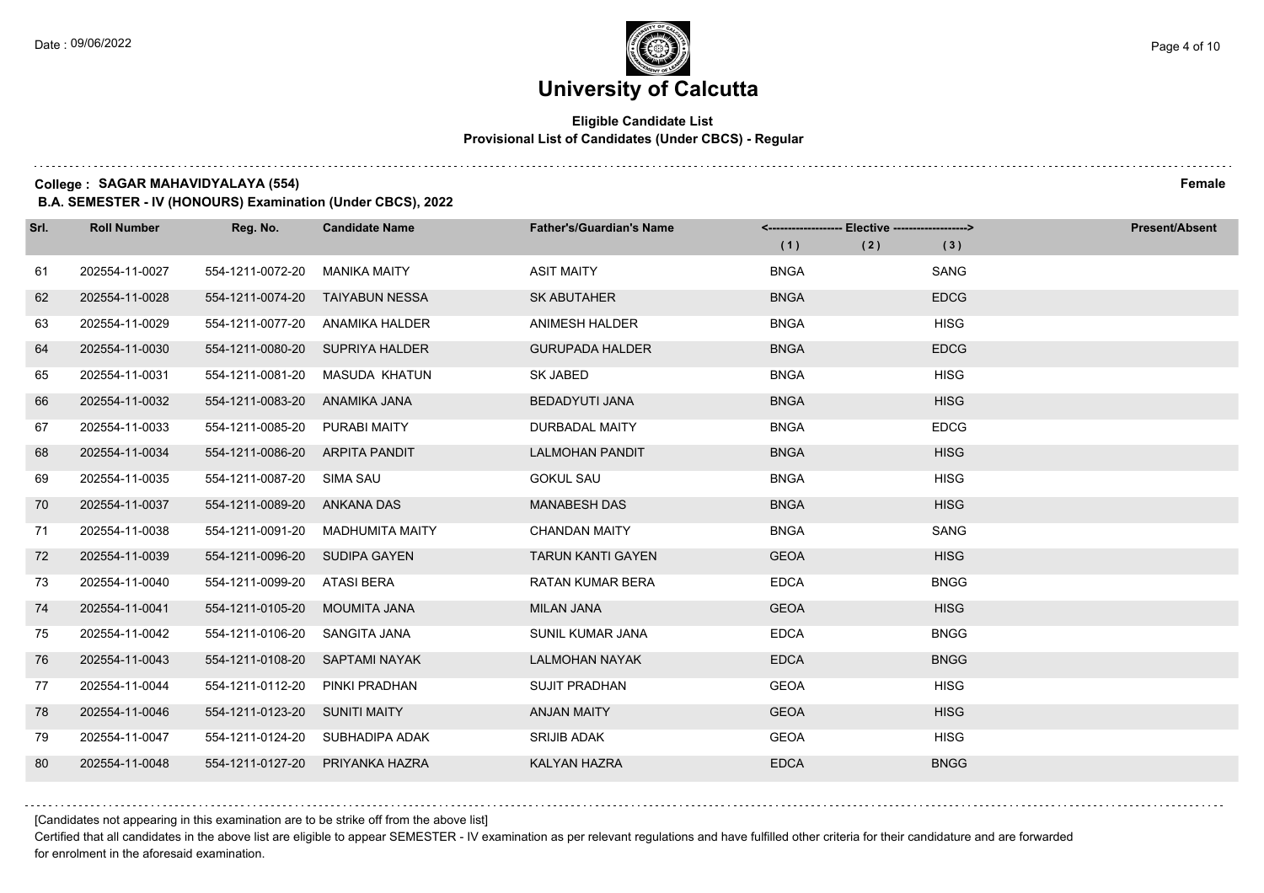### **Eligible Candidate List Provisional List of Candidates (Under CBCS) - Regular**

**College : SAGAR MAHAVIDYALAYA (554) Female**

**B.A. SEMESTER - IV (HONOURS) Examination (Under CBCS), 2022**

| Srl. | <b>Roll Number</b> | Reg. No.                      | <b>Candidate Name</b>           | <b>Father's/Guardian's Name</b> | <------------------- Elective ------------------> |     |             | <b>Present/Absent</b> |
|------|--------------------|-------------------------------|---------------------------------|---------------------------------|---------------------------------------------------|-----|-------------|-----------------------|
|      |                    |                               |                                 |                                 | (1)                                               | (2) | (3)         |                       |
| 61   | 202554-11-0027     | 554-1211-0072-20              | <b>MANIKA MAITY</b>             | <b>ASIT MAITY</b>               | <b>BNGA</b>                                       |     | SANG        |                       |
| 62   | 202554-11-0028     | 554-1211-0074-20              | TAIYABUN NESSA                  | <b>SK ABUTAHER</b>              | <b>BNGA</b>                                       |     | <b>EDCG</b> |                       |
| 63   | 202554-11-0029     | 554-1211-0077-20              | ANAMIKA HALDER                  | ANIMESH HALDER                  | <b>BNGA</b>                                       |     | <b>HISG</b> |                       |
| 64   | 202554-11-0030     |                               | 554-1211-0080-20 SUPRIYA HALDER | <b>GURUPADA HALDER</b>          | <b>BNGA</b>                                       |     | <b>EDCG</b> |                       |
| 65   | 202554-11-0031     | 554-1211-0081-20              | <b>MASUDA KHATUN</b>            | SK JABED                        | <b>BNGA</b>                                       |     | <b>HISG</b> |                       |
| 66   | 202554-11-0032     | 554-1211-0083-20              | ANAMIKA JANA                    | <b>BEDADYUTI JANA</b>           | <b>BNGA</b>                                       |     | <b>HISG</b> |                       |
| 67   | 202554-11-0033     | 554-1211-0085-20              | PURABI MAITY                    | DURBADAL MAITY                  | <b>BNGA</b>                                       |     | <b>EDCG</b> |                       |
| 68   | 202554-11-0034     | 554-1211-0086-20              | ARPITA PANDIT                   | <b>LALMOHAN PANDIT</b>          | <b>BNGA</b>                                       |     | <b>HISG</b> |                       |
| 69   | 202554-11-0035     | 554-1211-0087-20              | SIMA SAU                        | <b>GOKUL SAU</b>                | <b>BNGA</b>                                       |     | <b>HISG</b> |                       |
| 70   | 202554-11-0037     | 554-1211-0089-20              | ANKANA DAS                      | <b>MANABESH DAS</b>             | <b>BNGA</b>                                       |     | <b>HISG</b> |                       |
| 71   | 202554-11-0038     | 554-1211-0091-20              | <b>MADHUMITA MAITY</b>          | <b>CHANDAN MAITY</b>            | <b>BNGA</b>                                       |     | SANG        |                       |
| 72   | 202554-11-0039     | 554-1211-0096-20              | <b>SUDIPA GAYEN</b>             | <b>TARUN KANTI GAYEN</b>        | <b>GEOA</b>                                       |     | <b>HISG</b> |                       |
| 73   | 202554-11-0040     | 554-1211-0099-20              | ATASI BERA                      | <b>RATAN KUMAR BERA</b>         | <b>EDCA</b>                                       |     | <b>BNGG</b> |                       |
| 74   | 202554-11-0041     | 554-1211-0105-20              | MOUMITA JANA                    | <b>MILAN JANA</b>               | <b>GEOA</b>                                       |     | <b>HISG</b> |                       |
| 75   | 202554-11-0042     | 554-1211-0106-20              | SANGITA JANA                    | SUNIL KUMAR JANA                | <b>EDCA</b>                                       |     | <b>BNGG</b> |                       |
| 76   | 202554-11-0043     | 554-1211-0108-20              | <b>SAPTAMI NAYAK</b>            | <b>LALMOHAN NAYAK</b>           | <b>EDCA</b>                                       |     | <b>BNGG</b> |                       |
| 77   | 202554-11-0044     | 554-1211-0112-20              | PINKI PRADHAN                   | <b>SUJIT PRADHAN</b>            | <b>GEOA</b>                                       |     | <b>HISG</b> |                       |
| 78   | 202554-11-0046     | 554-1211-0123-20 SUNITI MAITY |                                 | <b>ANJAN MAITY</b>              | <b>GEOA</b>                                       |     | <b>HISG</b> |                       |
| 79   | 202554-11-0047     |                               | 554-1211-0124-20 SUBHADIPA ADAK | <b>SRIJIB ADAK</b>              | <b>GEOA</b>                                       |     | <b>HISG</b> |                       |
| 80   | 202554-11-0048     | 554-1211-0127-20              | PRIYANKA HAZRA                  | <b>KALYAN HAZRA</b>             | <b>EDCA</b>                                       |     | <b>BNGG</b> |                       |

[Candidates not appearing in this examination are to be strike off from the above list]

Certified that all candidates in the above list are eligible to appear SEMESTER - IV examination as per relevant regulations and have fulfilled other criteria for their candidature and are forwarded for enrolment in the aforesaid examination.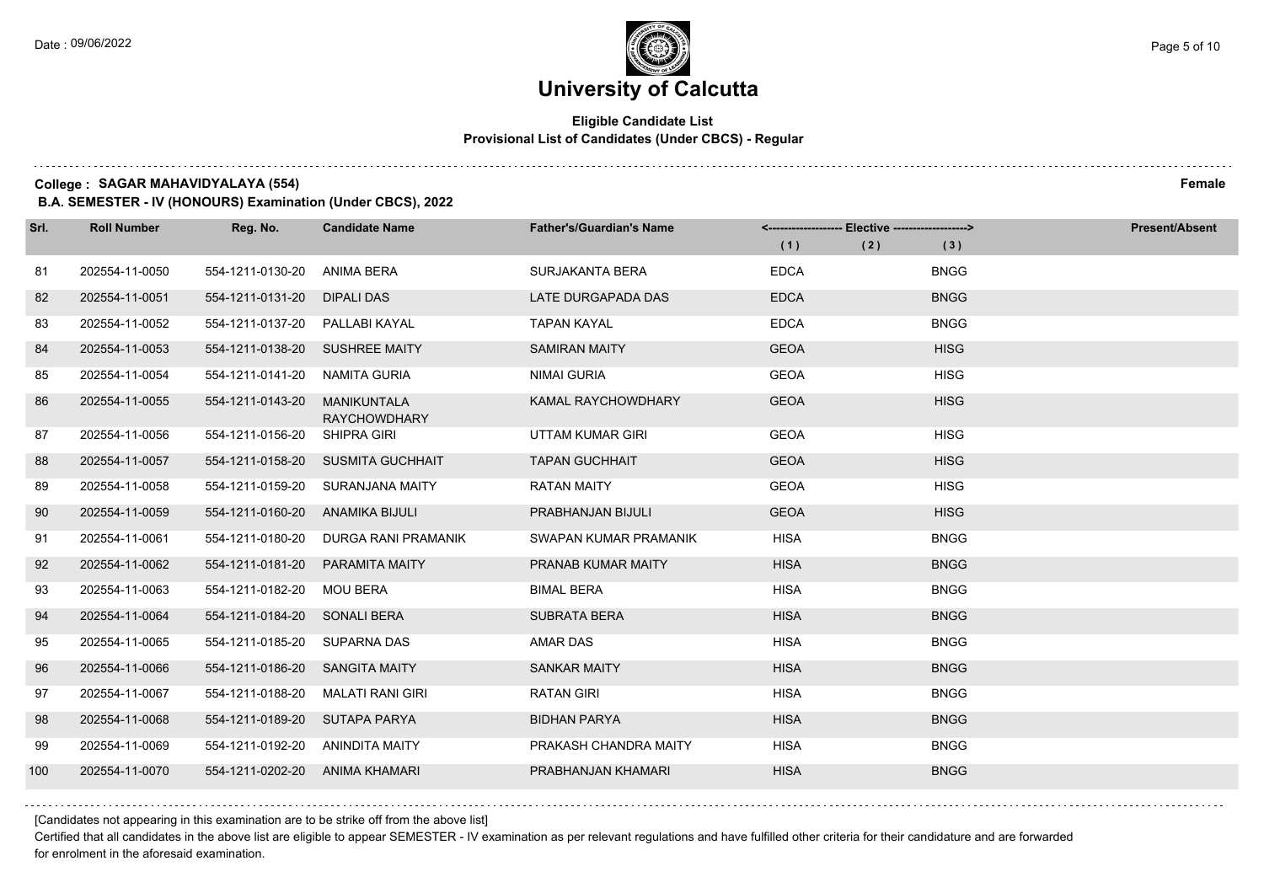### **Eligible Candidate List Provisional List of Candidates (Under CBCS) - Regular**

**College : SAGAR MAHAVIDYALAYA (554) Female**

**B.A. SEMESTER - IV (HONOURS) Examination (Under CBCS), 2022**

| Srl. | <b>Roll Number</b> | Reg. No.                       | <b>Candidate Name</b>                     | <b>Father's/Guardian's Name</b> |             | <-------------------- Elective -------------------> |             | <b>Present/Absent</b> |
|------|--------------------|--------------------------------|-------------------------------------------|---------------------------------|-------------|-----------------------------------------------------|-------------|-----------------------|
|      |                    |                                |                                           |                                 | (1)         | (2)                                                 | (3)         |                       |
| 81   | 202554-11-0050     | 554-1211-0130-20               | ANIMA BERA                                | SURJAKANTA BERA                 | <b>EDCA</b> |                                                     | <b>BNGG</b> |                       |
| 82   | 202554-11-0051     | 554-1211-0131-20               | DIPALI DAS                                | LATE DURGAPADA DAS              | <b>EDCA</b> |                                                     | <b>BNGG</b> |                       |
| 83   | 202554-11-0052     | 554-1211-0137-20 PALLABI KAYAL |                                           | <b>TAPAN KAYAL</b>              | <b>EDCA</b> |                                                     | <b>BNGG</b> |                       |
| 84   | 202554-11-0053     | 554-1211-0138-20 SUSHREE MAITY |                                           | <b>SAMIRAN MAITY</b>            | <b>GEOA</b> |                                                     | <b>HISG</b> |                       |
| 85   | 202554-11-0054     | 554-1211-0141-20               | NAMITA GURIA                              | <b>NIMAI GURIA</b>              | <b>GEOA</b> |                                                     | <b>HISG</b> |                       |
| 86   | 202554-11-0055     | 554-1211-0143-20               | <b>MANIKUNTALA</b><br><b>RAYCHOWDHARY</b> | <b>KAMAL RAYCHOWDHARY</b>       | <b>GEOA</b> |                                                     | <b>HISG</b> |                       |
| 87   | 202554-11-0056     | 554-1211-0156-20               | <b>SHIPRA GIRI</b>                        | UTTAM KUMAR GIRI                | <b>GEOA</b> |                                                     | <b>HISG</b> |                       |
| 88   | 202554-11-0057     |                                | 554-1211-0158-20 SUSMITA GUCHHAIT         | <b>TAPAN GUCHHAIT</b>           | <b>GEOA</b> |                                                     | <b>HISG</b> |                       |
| 89   | 202554-11-0058     |                                | 554-1211-0159-20 SURANJANA MAITY          | <b>RATAN MAITY</b>              | <b>GEOA</b> |                                                     | <b>HISG</b> |                       |
| 90   | 202554-11-0059     | 554-1211-0160-20               | ANAMIKA BIJULI                            | PRABHANJAN BIJULI               | <b>GEOA</b> |                                                     | <b>HISG</b> |                       |
| 91   | 202554-11-0061     | 554-1211-0180-20               | DURGA RANI PRAMANIK                       | SWAPAN KUMAR PRAMANIK           | <b>HISA</b> |                                                     | <b>BNGG</b> |                       |
| 92   | 202554-11-0062     | 554-1211-0181-20               | PARAMITA MAITY                            | PRANAB KUMAR MAITY              | <b>HISA</b> |                                                     | <b>BNGG</b> |                       |
| 93   | 202554-11-0063     | 554-1211-0182-20 MOU BERA      |                                           | <b>BIMAL BERA</b>               | <b>HISA</b> |                                                     | <b>BNGG</b> |                       |
| 94   | 202554-11-0064     | 554-1211-0184-20               | <b>SONALI BERA</b>                        | <b>SUBRATA BERA</b>             | <b>HISA</b> |                                                     | <b>BNGG</b> |                       |
| 95   | 202554-11-0065     | 554-1211-0185-20 SUPARNA DAS   |                                           | <b>AMAR DAS</b>                 | <b>HISA</b> |                                                     | <b>BNGG</b> |                       |
| 96   | 202554-11-0066     | 554-1211-0186-20 SANGITA MAITY |                                           | <b>SANKAR MAITY</b>             | <b>HISA</b> |                                                     | <b>BNGG</b> |                       |
| 97   | 202554-11-0067     | 554-1211-0188-20               | MALATI RANI GIRI                          | <b>RATAN GIRI</b>               | <b>HISA</b> |                                                     | <b>BNGG</b> |                       |
| 98   | 202554-11-0068     | 554-1211-0189-20               | SUTAPA PARYA                              | <b>BIDHAN PARYA</b>             | <b>HISA</b> |                                                     | <b>BNGG</b> |                       |
| 99   | 202554-11-0069     | 554-1211-0192-20               | ANINDITA MAITY                            | PRAKASH CHANDRA MAITY           | <b>HISA</b> |                                                     | <b>BNGG</b> |                       |
| 100  | 202554-11-0070     | 554-1211-0202-20 ANIMA KHAMARI |                                           | PRABHANJAN KHAMARI              | <b>HISA</b> |                                                     | <b>BNGG</b> |                       |

[Candidates not appearing in this examination are to be strike off from the above list]

Certified that all candidates in the above list are eligible to appear SEMESTER - IV examination as per relevant regulations and have fulfilled other criteria for their candidature and are forwarded for enrolment in the aforesaid examination.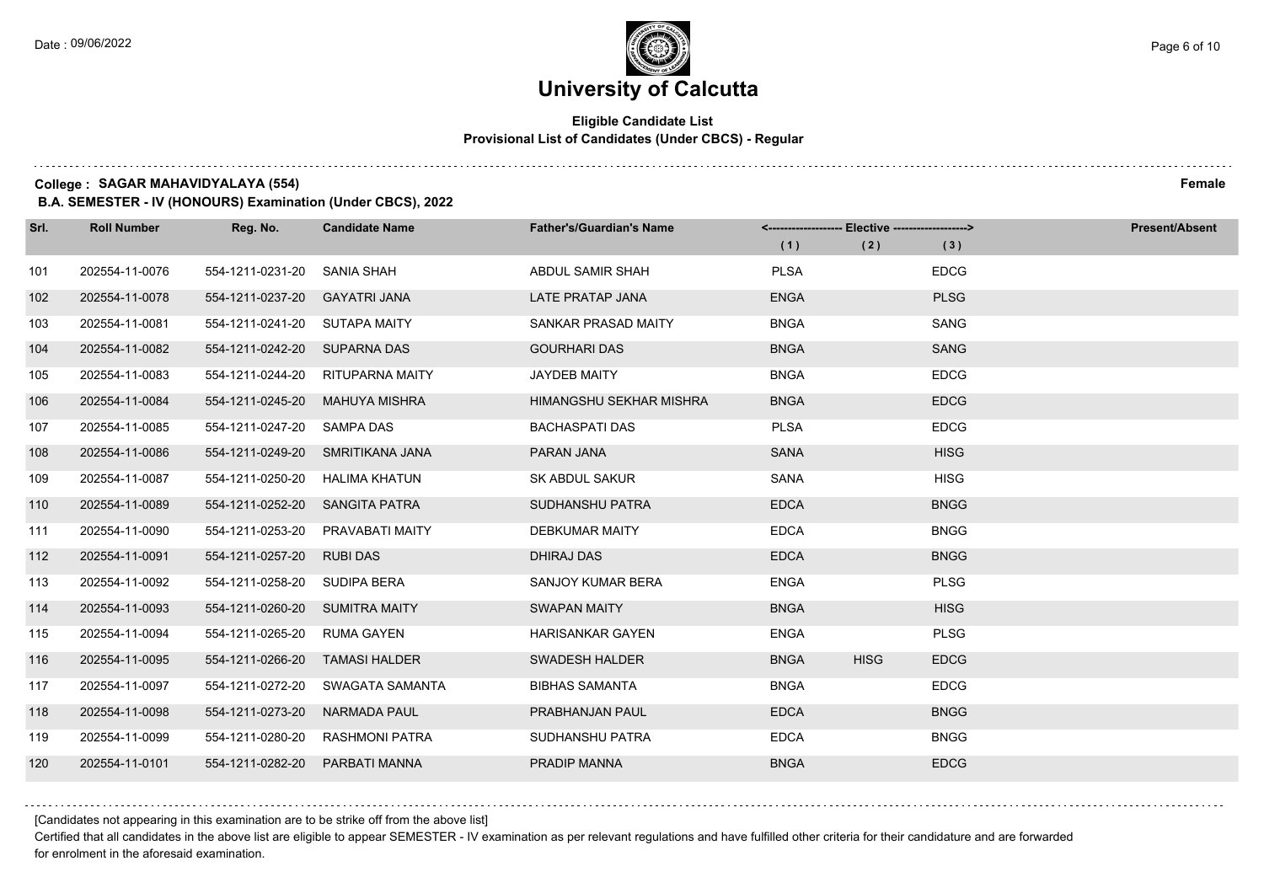### **Eligible Candidate List Provisional List of Candidates (Under CBCS) - Regular**

**College : SAGAR MAHAVIDYALAYA (554) Female**

**B.A. SEMESTER - IV (HONOURS) Examination (Under CBCS), 2022**

| Srl. | <b>Roll Number</b> | Reg. No.                     | <b>Candidate Name</b>            | <b>Father's/Guardian's Name</b> | (1)         | <-------------------- Elective -------------------><br>(2) | (3)         | <b>Present/Absent</b> |
|------|--------------------|------------------------------|----------------------------------|---------------------------------|-------------|------------------------------------------------------------|-------------|-----------------------|
|      |                    |                              |                                  |                                 |             |                                                            |             |                       |
| 101  | 202554-11-0076     | 554-1211-0231-20             | SANIA SHAH                       | ABDUL SAMIR SHAH                | <b>PLSA</b> |                                                            | <b>EDCG</b> |                       |
| 102  | 202554-11-0078     | 554-1211-0237-20             | <b>GAYATRI JANA</b>              | LATE PRATAP JANA                | <b>ENGA</b> |                                                            | <b>PLSG</b> |                       |
| 103  | 202554-11-0081     | 554-1211-0241-20             | SUTAPA MAITY                     | SANKAR PRASAD MAITY             | <b>BNGA</b> |                                                            | <b>SANG</b> |                       |
| 104  | 202554-11-0082     | 554-1211-0242-20 SUPARNA DAS |                                  | <b>GOURHARI DAS</b>             | <b>BNGA</b> |                                                            | <b>SANG</b> |                       |
| 105  | 202554-11-0083     | 554-1211-0244-20             | <b>RITUPARNA MAITY</b>           | <b>JAYDEB MAITY</b>             | <b>BNGA</b> |                                                            | <b>EDCG</b> |                       |
| 106  | 202554-11-0084     | 554-1211-0245-20             | <b>MAHUYA MISHRA</b>             | HIMANGSHU SEKHAR MISHRA         | <b>BNGA</b> |                                                            | <b>EDCG</b> |                       |
| 107  | 202554-11-0085     | 554-1211-0247-20 SAMPA DAS   |                                  | <b>BACHASPATI DAS</b>           | <b>PLSA</b> |                                                            | <b>EDCG</b> |                       |
| 108  | 202554-11-0086     |                              | 554-1211-0249-20 SMRITIKANA JANA | PARAN JANA                      | <b>SANA</b> |                                                            | <b>HISG</b> |                       |
| 109  | 202554-11-0087     | 554-1211-0250-20             | HALIMA KHATUN                    | SK ABDUL SAKUR                  | SANA        |                                                            | <b>HISG</b> |                       |
| 110  | 202554-11-0089     | 554-1211-0252-20             | <b>SANGITA PATRA</b>             | SUDHANSHU PATRA                 | <b>EDCA</b> |                                                            | <b>BNGG</b> |                       |
| 111  | 202554-11-0090     | 554-1211-0253-20             | PRAVABATI MAITY                  | <b>DEBKUMAR MAITY</b>           | <b>EDCA</b> |                                                            | <b>BNGG</b> |                       |
| 112  | 202554-11-0091     | 554-1211-0257-20             | <b>RUBI DAS</b>                  | <b>DHIRAJ DAS</b>               | <b>EDCA</b> |                                                            | <b>BNGG</b> |                       |
| 113  | 202554-11-0092     | 554-1211-0258-20             | <b>SUDIPA BERA</b>               | SANJOY KUMAR BERA               | <b>ENGA</b> |                                                            | <b>PLSG</b> |                       |
| 114  | 202554-11-0093     | 554-1211-0260-20             | <b>SUMITRA MAITY</b>             | <b>SWAPAN MAITY</b>             | <b>BNGA</b> |                                                            | <b>HISG</b> |                       |
| 115  | 202554-11-0094     | 554-1211-0265-20             | <b>RUMA GAYEN</b>                | <b>HARISANKAR GAYEN</b>         | <b>ENGA</b> |                                                            | <b>PLSG</b> |                       |
| 116  | 202554-11-0095     | 554-1211-0266-20             | <b>TAMASI HALDER</b>             | <b>SWADESH HALDER</b>           | <b>BNGA</b> | <b>HISG</b>                                                | <b>EDCG</b> |                       |
| 117  | 202554-11-0097     | 554-1211-0272-20             | SWAGATA SAMANTA                  | <b>BIBHAS SAMANTA</b>           | <b>BNGA</b> |                                                            | <b>EDCG</b> |                       |
| 118  | 202554-11-0098     | 554-1211-0273-20             | <b>NARMADA PAUL</b>              | PRABHANJAN PAUL                 | <b>EDCA</b> |                                                            | <b>BNGG</b> |                       |
| 119  | 202554-11-0099     | 554-1211-0280-20             | <b>RASHMONI PATRA</b>            | SUDHANSHU PATRA                 | <b>EDCA</b> |                                                            | <b>BNGG</b> |                       |
| 120  | 202554-11-0101     | 554-1211-0282-20             | PARBATI MANNA                    | PRADIP MANNA                    | <b>BNGA</b> |                                                            | <b>EDCG</b> |                       |

[Candidates not appearing in this examination are to be strike off from the above list]

Certified that all candidates in the above list are eligible to appear SEMESTER - IV examination as per relevant regulations and have fulfilled other criteria for their candidature and are forwarded for enrolment in the aforesaid examination.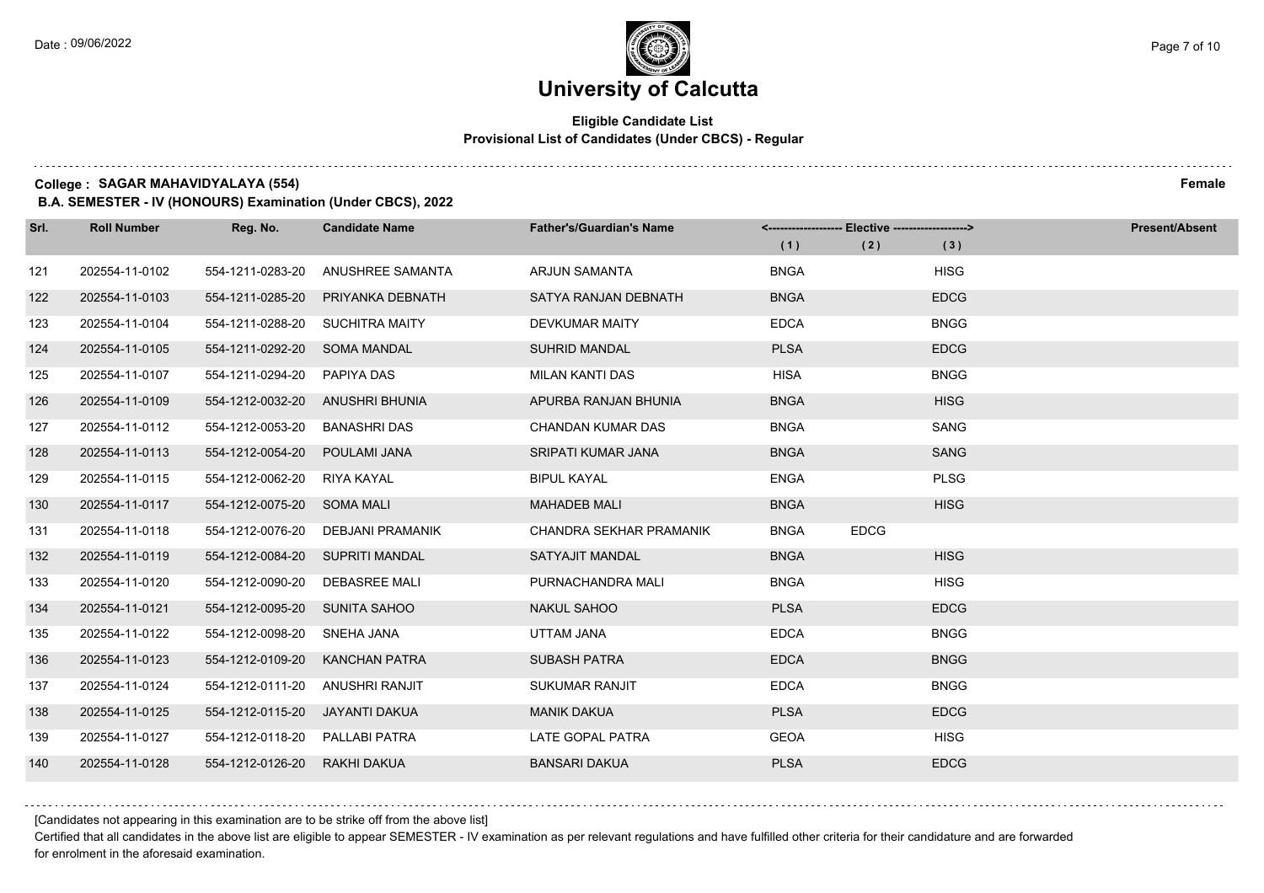$1.111$ 

# **University of Calcutta**

### **Eligible Candidate List Provisional List of Candidates (Under CBCS) - Regular**

**College : SAGAR MAHAVIDYALAYA (554) Female**

**B.A. SEMESTER - IV (HONOURS) Examination (Under CBCS), 2022**

| Srl. | <b>Roll Number</b> | Reg. No.                        | <b>Candidate Name</b> | <b>Father's/Guardian's Name</b> | (1)         | <------------------- Elective -------------------><br>(2) | (3)         | <b>Present/Absent</b> |
|------|--------------------|---------------------------------|-----------------------|---------------------------------|-------------|-----------------------------------------------------------|-------------|-----------------------|
| 121  | 202554-11-0102     | 554-1211-0283-20                | ANUSHREE SAMANTA      | <b>ARJUN SAMANTA</b>            | <b>BNGA</b> |                                                           | <b>HISG</b> |                       |
| 122  | 202554-11-0103     | 554-1211-0285-20                | PRIYANKA DEBNATH      | SATYA RANJAN DEBNATH            | <b>BNGA</b> |                                                           | <b>EDCG</b> |                       |
| 123  | 202554-11-0104     | 554-1211-0288-20                | <b>SUCHITRA MAITY</b> | <b>DEVKUMAR MAITY</b>           | <b>EDCA</b> |                                                           | <b>BNGG</b> |                       |
| 124  | 202554-11-0105     | 554-1211-0292-20 SOMA MANDAL    |                       | <b>SUHRID MANDAL</b>            | <b>PLSA</b> |                                                           | <b>EDCG</b> |                       |
| 125  | 202554-11-0107     | 554-1211-0294-20                | PAPIYA DAS            | <b>MILAN KANTI DAS</b>          | <b>HISA</b> |                                                           | <b>BNGG</b> |                       |
| 126  | 202554-11-0109     | 554-1212-0032-20                | ANUSHRI BHUNIA        | APURBA RANJAN BHUNIA            | <b>BNGA</b> |                                                           | <b>HISG</b> |                       |
| 127  | 202554-11-0112     | 554-1212-0053-20                | BANASHRI DAS          | CHANDAN KUMAR DAS               | <b>BNGA</b> |                                                           | SANG        |                       |
| 128  | 202554-11-0113     | 554-1212-0054-20                | POULAMI JANA          | SRIPATI KUMAR JANA              | <b>BNGA</b> |                                                           | <b>SANG</b> |                       |
| 129  | 202554-11-0115     | 554-1212-0062-20                | RIYA KAYAL            | <b>BIPUL KAYAL</b>              | <b>ENGA</b> |                                                           | <b>PLSG</b> |                       |
| 130  | 202554-11-0117     | 554-1212-0075-20 SOMA MALI      |                       | <b>MAHADEB MALI</b>             | <b>BNGA</b> |                                                           | <b>HISG</b> |                       |
| 131  | 202554-11-0118     | 554-1212-0076-20                | DEBJANI PRAMANIK      | CHANDRA SEKHAR PRAMANIK         | <b>BNGA</b> | <b>EDCG</b>                                               |             |                       |
| 132  | 202554-11-0119     | 554-1212-0084-20 SUPRITI MANDAL |                       | <b>SATYAJIT MANDAL</b>          | <b>BNGA</b> |                                                           | <b>HISG</b> |                       |
| 133  | 202554-11-0120     | 554-1212-0090-20                | <b>DEBASREE MALI</b>  | PURNACHANDRA MALI               | <b>BNGA</b> |                                                           | <b>HISG</b> |                       |
| 134  | 202554-11-0121     | 554-1212-0095-20 SUNITA SAHOO   |                       | <b>NAKUL SAHOO</b>              | <b>PLSA</b> |                                                           | <b>EDCG</b> |                       |
| 135  | 202554-11-0122     | 554-1212-0098-20                | SNEHA JANA            | UTTAM JANA                      | <b>EDCA</b> |                                                           | <b>BNGG</b> |                       |
| 136  | 202554-11-0123     | 554-1212-0109-20                | <b>KANCHAN PATRA</b>  | <b>SUBASH PATRA</b>             | <b>EDCA</b> |                                                           | <b>BNGG</b> |                       |
| 137  | 202554-11-0124     | 554-1212-0111-20                | <b>ANUSHRI RANJIT</b> | <b>SUKUMAR RANJIT</b>           | <b>EDCA</b> |                                                           | <b>BNGG</b> |                       |
| 138  | 202554-11-0125     | 554-1212-0115-20                | JAYANTI DAKUA         | <b>MANIK DAKUA</b>              | <b>PLSA</b> |                                                           | <b>EDCG</b> |                       |
| 139  | 202554-11-0127     | 554-1212-0118-20 PALLABI PATRA  |                       | LATE GOPAL PATRA                | <b>GEOA</b> |                                                           | <b>HISG</b> |                       |
| 140  | 202554-11-0128     | 554-1212-0126-20                | RAKHI DAKUA           | <b>BANSARI DAKUA</b>            | <b>PLSA</b> |                                                           | <b>EDCG</b> |                       |

[Candidates not appearing in this examination are to be strike off from the above list]

Certified that all candidates in the above list are eligible to appear SEMESTER - IV examination as per relevant regulations and have fulfilled other criteria for their candidature and are forwarded for enrolment in the aforesaid examination.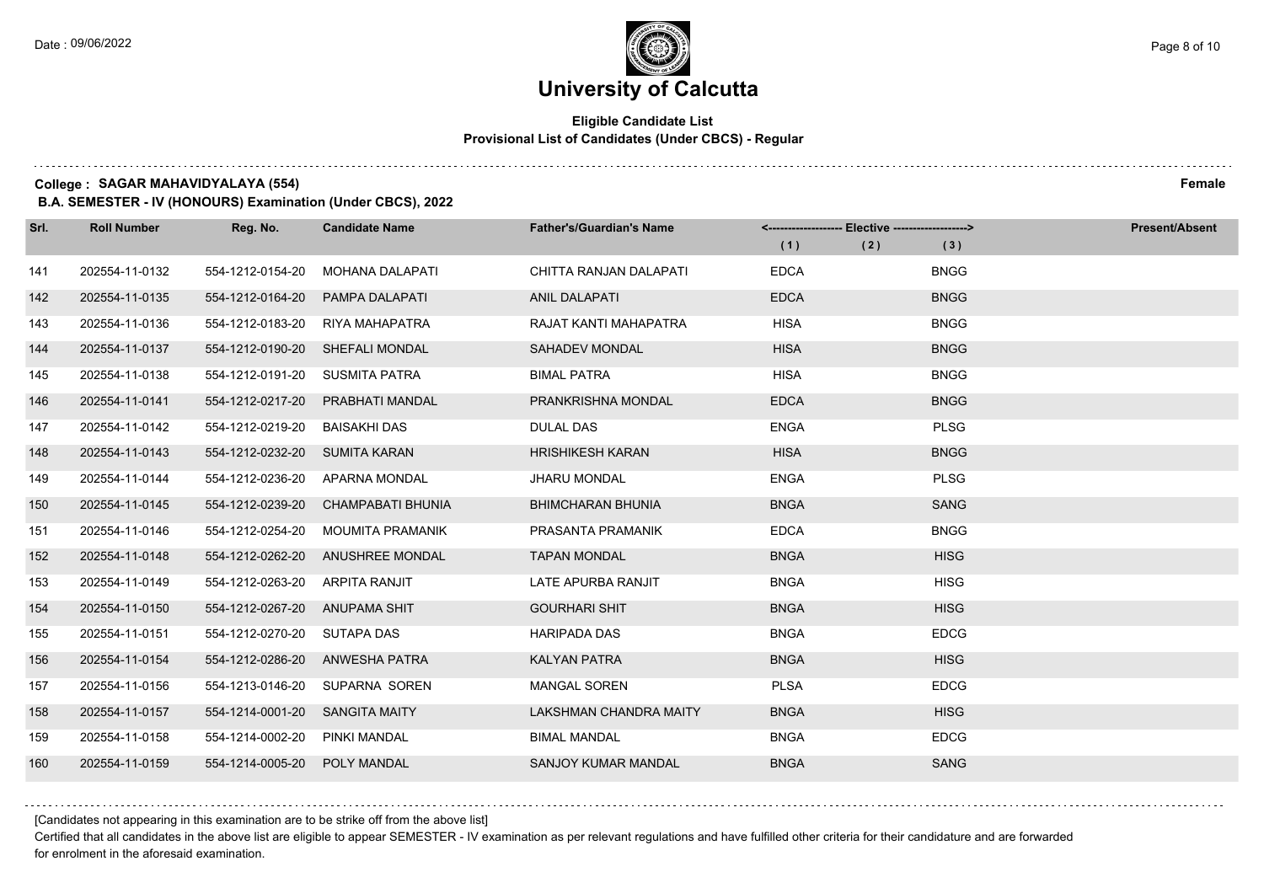### **Eligible Candidate List Provisional List of Candidates (Under CBCS) - Regular**

**College : SAGAR MAHAVIDYALAYA (554) Female**

**B.A. SEMESTER - IV (HONOURS) Examination (Under CBCS), 2022**

| Srl. | <b>Roll Number</b> | Reg. No.                      | <b>Candidate Name</b>            | <b>Father's/Guardian's Name</b> | <------------------- Elective -------------------><br>(1) | (2) | (3)         | <b>Present/Absent</b> |
|------|--------------------|-------------------------------|----------------------------------|---------------------------------|-----------------------------------------------------------|-----|-------------|-----------------------|
| 141  | 202554-11-0132     | 554-1212-0154-20              | <b>MOHANA DALAPATI</b>           | CHITTA RANJAN DALAPATI          | <b>EDCA</b>                                               |     | <b>BNGG</b> |                       |
| 142  | 202554-11-0135     | 554-1212-0164-20              | PAMPA DALAPATI                   | <b>ANIL DALAPATI</b>            | <b>EDCA</b>                                               |     | <b>BNGG</b> |                       |
| 143  | 202554-11-0136     | 554-1212-0183-20              | RIYA MAHAPATRA                   | RAJAT KANTI MAHAPATRA           | <b>HISA</b>                                               |     | <b>BNGG</b> |                       |
| 144  | 202554-11-0137     |                               | 554-1212-0190-20 SHEFALI MONDAL  | <b>SAHADEV MONDAL</b>           | <b>HISA</b>                                               |     | <b>BNGG</b> |                       |
| 145  | 202554-11-0138     | 554-1212-0191-20              | SUSMITA PATRA                    | <b>BIMAL PATRA</b>              | <b>HISA</b>                                               |     | <b>BNGG</b> |                       |
| 146  | 202554-11-0141     | 554-1212-0217-20              | PRABHATI MANDAL                  | PRANKRISHNA MONDAL              | <b>EDCA</b>                                               |     | <b>BNGG</b> |                       |
| 147  | 202554-11-0142     | 554-1212-0219-20              | <b>BAISAKHI DAS</b>              | <b>DULAL DAS</b>                | <b>ENGA</b>                                               |     | <b>PLSG</b> |                       |
| 148  | 202554-11-0143     | 554-1212-0232-20 SUMITA KARAN |                                  | <b>HRISHIKESH KARAN</b>         | <b>HISA</b>                                               |     | <b>BNGG</b> |                       |
| 149  | 202554-11-0144     | 554-1212-0236-20              | APARNA MONDAL                    | <b>JHARU MONDAL</b>             | <b>ENGA</b>                                               |     | <b>PLSG</b> |                       |
| 150  | 202554-11-0145     | 554-1212-0239-20              | CHAMPABATI BHUNIA                | <b>BHIMCHARAN BHUNIA</b>        | <b>BNGA</b>                                               |     | <b>SANG</b> |                       |
| 151  | 202554-11-0146     | 554-1212-0254-20              | MOUMITA PRAMANIK                 | PRASANTA PRAMANIK               | <b>EDCA</b>                                               |     | <b>BNGG</b> |                       |
| 152  | 202554-11-0148     |                               | 554-1212-0262-20 ANUSHREE MONDAL | <b>TAPAN MONDAL</b>             | <b>BNGA</b>                                               |     | <b>HISG</b> |                       |
| 153  | 202554-11-0149     | 554-1212-0263-20              | ARPITA RANJIT                    | LATE APURBA RANJIT              | <b>BNGA</b>                                               |     | <b>HISG</b> |                       |
| 154  | 202554-11-0150     | 554-1212-0267-20              | ANUPAMA SHIT                     | <b>GOURHARI SHIT</b>            | <b>BNGA</b>                                               |     | <b>HISG</b> |                       |
| 155  | 202554-11-0151     | 554-1212-0270-20 SUTAPA DAS   |                                  | <b>HARIPADA DAS</b>             | <b>BNGA</b>                                               |     | <b>EDCG</b> |                       |
| 156  | 202554-11-0154     |                               | 554-1212-0286-20 ANWESHA PATRA   | <b>KALYAN PATRA</b>             | <b>BNGA</b>                                               |     | <b>HISG</b> |                       |
| 157  | 202554-11-0156     | 554-1213-0146-20              | SUPARNA SOREN                    | <b>MANGAL SOREN</b>             | <b>PLSA</b>                                               |     | <b>EDCG</b> |                       |
| 158  | 202554-11-0157     | 554-1214-0001-20              | SANGITA MAITY                    | LAKSHMAN CHANDRA MAITY          | <b>BNGA</b>                                               |     | <b>HISG</b> |                       |
| 159  | 202554-11-0158     | 554-1214-0002-20              | PINKI MANDAL                     | <b>BIMAL MANDAL</b>             | <b>BNGA</b>                                               |     | <b>EDCG</b> |                       |
| 160  | 202554-11-0159     | 554-1214-0005-20 POLY MANDAL  |                                  | <b>SANJOY KUMAR MANDAL</b>      | <b>BNGA</b>                                               |     | <b>SANG</b> |                       |

[Candidates not appearing in this examination are to be strike off from the above list]

Certified that all candidates in the above list are eligible to appear SEMESTER - IV examination as per relevant regulations and have fulfilled other criteria for their candidature and are forwarded for enrolment in the aforesaid examination.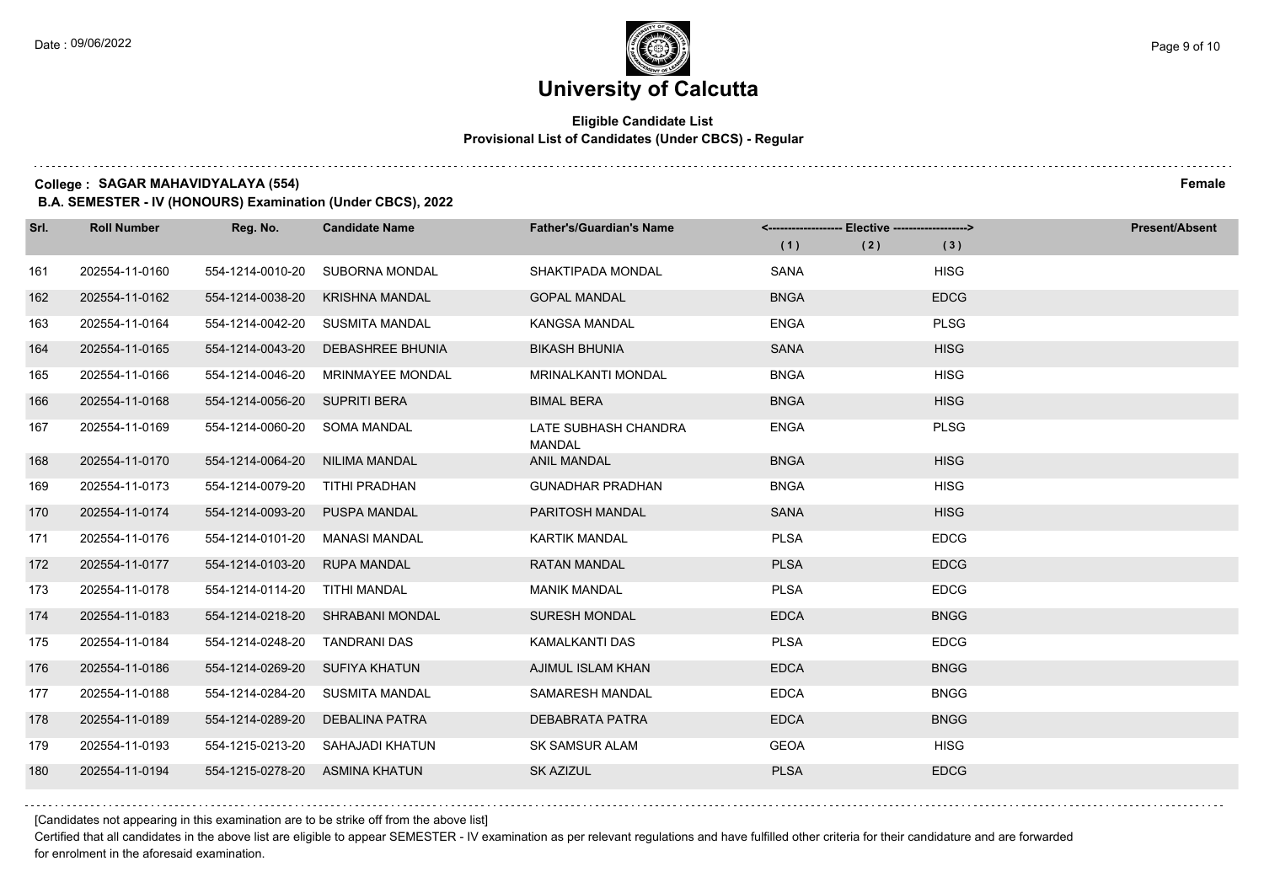### **Eligible Candidate List Provisional List of Candidates (Under CBCS) - Regular**

**College : SAGAR MAHAVIDYALAYA (554) Female**

**B.A. SEMESTER - IV (HONOURS) Examination (Under CBCS), 2022**

| Srl. | <b>Roll Number</b> | Reg. No.                       | <b>Candidate Name</b>            | <b>Father's/Guardian's Name</b>       |             | <-------------------- Elective -------------------> |             | <b>Present/Absent</b> |
|------|--------------------|--------------------------------|----------------------------------|---------------------------------------|-------------|-----------------------------------------------------|-------------|-----------------------|
|      |                    |                                |                                  |                                       | (1)         | (2)                                                 | (3)         |                       |
| 161  | 202554-11-0160     | 554-1214-0010-20               | <b>SUBORNA MONDAL</b>            | SHAKTIPADA MONDAL                     | <b>SANA</b> |                                                     | <b>HISG</b> |                       |
| 162  | 202554-11-0162     | 554-1214-0038-20               | <b>KRISHNA MANDAL</b>            | <b>GOPAL MANDAL</b>                   | <b>BNGA</b> |                                                     | <b>EDCG</b> |                       |
| 163  | 202554-11-0164     |                                | 554-1214-0042-20 SUSMITA MANDAL  | <b>KANGSA MANDAL</b>                  | <b>ENGA</b> |                                                     | <b>PLSG</b> |                       |
| 164  | 202554-11-0165     | 554-1214-0043-20               | DEBASHREE BHUNIA                 | <b>BIKASH BHUNIA</b>                  | <b>SANA</b> |                                                     | <b>HISG</b> |                       |
| 165  | 202554-11-0166     | 554-1214-0046-20               | <b>MRINMAYEE MONDAL</b>          | <b>MRINALKANTI MONDAL</b>             | <b>BNGA</b> |                                                     | <b>HISG</b> |                       |
| 166  | 202554-11-0168     | 554-1214-0056-20 SUPRITI BERA  |                                  | <b>BIMAL BERA</b>                     | <b>BNGA</b> |                                                     | <b>HISG</b> |                       |
| 167  | 202554-11-0169     | 554-1214-0060-20 SOMA MANDAL   |                                  | LATE SUBHASH CHANDRA<br><b>MANDAL</b> | <b>ENGA</b> |                                                     | <b>PLSG</b> |                       |
| 168  | 202554-11-0170     | 554-1214-0064-20 NILIMA MANDAL |                                  | <b>ANIL MANDAL</b>                    | <b>BNGA</b> |                                                     | <b>HISG</b> |                       |
| 169  | 202554-11-0173     | 554-1214-0079-20               | TITHI PRADHAN                    | <b>GUNADHAR PRADHAN</b>               | <b>BNGA</b> |                                                     | <b>HISG</b> |                       |
| 170  | 202554-11-0174     | 554-1214-0093-20               | <b>PUSPA MANDAL</b>              | PARITOSH MANDAL                       | <b>SANA</b> |                                                     | <b>HISG</b> |                       |
| 171  | 202554-11-0176     | 554-1214-0101-20               | MANASI MANDAL                    | <b>KARTIK MANDAL</b>                  | <b>PLSA</b> |                                                     | <b>EDCG</b> |                       |
| 172  | 202554-11-0177     | 554-1214-0103-20               | <b>RUPA MANDAL</b>               | <b>RATAN MANDAL</b>                   | <b>PLSA</b> |                                                     | <b>EDCG</b> |                       |
| 173  | 202554-11-0178     | 554-1214-0114-20               | TITHI MANDAL                     | <b>MANIK MANDAL</b>                   | <b>PLSA</b> |                                                     | <b>EDCG</b> |                       |
| 174  | 202554-11-0183     | 554-1214-0218-20               | SHRABANI MONDAL                  | SURESH MONDAL                         | <b>EDCA</b> |                                                     | <b>BNGG</b> |                       |
| 175  | 202554-11-0184     | 554-1214-0248-20               | TANDRANI DAS                     | <b>KAMALKANTI DAS</b>                 | <b>PLSA</b> |                                                     | <b>EDCG</b> |                       |
| 176  | 202554-11-0186     | 554-1214-0269-20 SUFIYA KHATUN |                                  | AJIMUL ISLAM KHAN                     | <b>EDCA</b> |                                                     | <b>BNGG</b> |                       |
| 177  | 202554-11-0188     | 554-1214-0284-20               | SUSMITA MANDAL                   | SAMARESH MANDAL                       | <b>EDCA</b> |                                                     | <b>BNGG</b> |                       |
| 178  | 202554-11-0189     | 554-1214-0289-20               | <b>DEBALINA PATRA</b>            | DEBABRATA PATRA                       | <b>EDCA</b> |                                                     | <b>BNGG</b> |                       |
| 179  | 202554-11-0193     |                                | 554-1215-0213-20 SAHAJADI KHATUN | SK SAMSUR ALAM                        | <b>GEOA</b> |                                                     | <b>HISG</b> |                       |
| 180  | 202554-11-0194     | 554-1215-0278-20 ASMINA KHATUN |                                  | SK AZIZUL                             | <b>PLSA</b> |                                                     | <b>EDCG</b> |                       |

[Candidates not appearing in this examination are to be strike off from the above list]

Certified that all candidates in the above list are eligible to appear SEMESTER - IV examination as per relevant regulations and have fulfilled other criteria for their candidature and are forwarded for enrolment in the aforesaid examination.